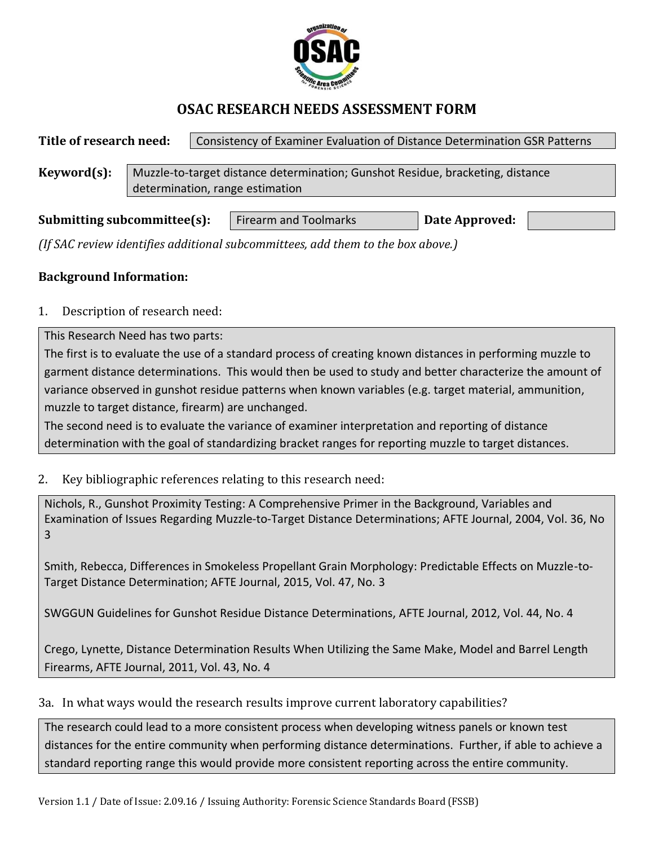

## **OSAC RESEARCH NEEDS ASSESSMENT FORM**

| Title of research need: |                                                                                | Consistency of Examiner Evaluation of Distance Determination GSR Patterns |  |  |  |
|-------------------------|--------------------------------------------------------------------------------|---------------------------------------------------------------------------|--|--|--|
|                         |                                                                                |                                                                           |  |  |  |
| Keyword(s):             | Muzzle-to-target distance determination; Gunshot Residue, bracketing, distance |                                                                           |  |  |  |
|                         | determination, range estimation                                                |                                                                           |  |  |  |
|                         |                                                                                |                                                                           |  |  |  |

| Submitting subcommittee(s): | <b>Firearm and Toolmarks</b> | Date Approved: |  |
|-----------------------------|------------------------------|----------------|--|
|                             |                              |                |  |

*(If SAC review identifies additional subcommittees, add them to the box above.)*

## **Background Information:**

1. Description of research need:

This Research Need has two parts:

The first is to evaluate the use of a standard process of creating known distances in performing muzzle to garment distance determinations. This would then be used to study and better characterize the amount of variance observed in gunshot residue patterns when known variables (e.g. target material, ammunition, muzzle to target distance, firearm) are unchanged.

The second need is to evaluate the variance of examiner interpretation and reporting of distance determination with the goal of standardizing bracket ranges for reporting muzzle to target distances.

2. Key bibliographic references relating to this research need:

Nichols, R., Gunshot Proximity Testing: A Comprehensive Primer in the Background, Variables and Examination of Issues Regarding Muzzle-to-Target Distance Determinations; AFTE Journal, 2004, Vol. 36, No 3

Smith, Rebecca, Differences in Smokeless Propellant Grain Morphology: Predictable Effects on Muzzle-to-Target Distance Determination; AFTE Journal, 2015, Vol. 47, No. 3

SWGGUN Guidelines for Gunshot Residue Distance Determinations, AFTE Journal, 2012, Vol. 44, No. 4

Crego, Lynette, Distance Determination Results When Utilizing the Same Make, Model and Barrel Length Firearms, AFTE Journal, 2011, Vol. 43, No. 4

3a. In what ways would the research results improve current laboratory capabilities?

The research could lead to a more consistent process when developing witness panels or known test distances for the entire community when performing distance determinations. Further, if able to achieve a standard reporting range this would provide more consistent reporting across the entire community.